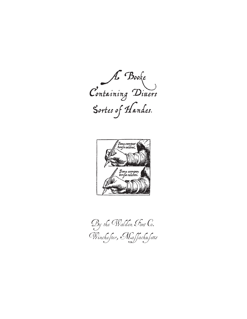A Booke Containing Divers Sortes of Handes.



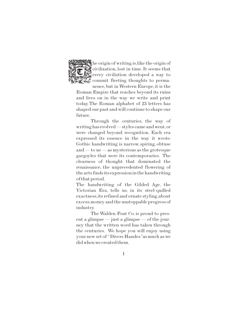

he origin of writing is,like the origin of civilization, lost in time. It seems that every civiliztion developed a way to **Commit fleeting thoughts to perma**nence, but in Western Europe, it is the

Roman Empire that reaches beyond its ruins and lives on in the way we write and print today.The Roman alphabet of 23 letters has shaped our past and will continue to shape our future.

Through the centuries, the way of writing has evolved — styles came and went,or were changed beyond recognition. Each era expressed its essence in the way it wrote: Gothic handwriting is narrow, spiring, obtuse and — to us — as mysterious as the grotesque gargoyles that were its contemporaries. The clearness of thought that dominated the renaissance, the unprecedented flowering of the arts finds its expression in the handwriting of that period.

The handwriting of the Gilded Age, the Victorian Era, tells us, in its steel-quilled exactness,its refined and ornate styling,about excess,money and the unstoppable progress of industry.

The Walden Font Co. is proud to present a glimpse — just a glimpse — of the journey that the written word has taken through the centuries. We hope you will enjoy using your new set of "Divers Handes"as much as we did when we created them.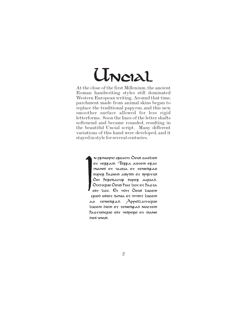# Uncial

At the close of the first Millenium,the ancient Roman handwriting styles still dominated Western European writing. Around that time, parchment made from animal skins began to replace the traditional papyrus, and this new, smoother surface allowed for less rigid letterforms. Soon the lines of the letter shafts softenend and became rounded, resulting in the beautiful Uncial script. Many different variations of this hand were developed, and it stayed in style for several centuries.

> n principio creavit Deus caelum et terram. Terra autem erat inanis et vacua et tenebrae super faciem abyssi et spiritus Dei ferebatur super aquas. Dixitque Deus fiat lux et facta est lux. Et vidit Deus lucem quod esset bona et divisit lucem ac tenebras. Appellavitque lucem diem et tenebras noctem factumque est vespere et mane dies unus.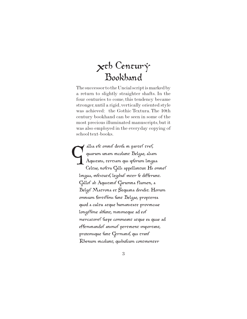## $x$ th Centur $\dot{y}$ Bookhand

The successor to the Uncial script is marked by a return to slightly straighter shafts. In the four centuries to come, this tendency became stronger,until a rigid,vertically oriented style was achieved: the Gothic Textura. The 10th century bookhand can be seen in some of the most precious illuminated manuscripts, but it was also employed in the everyday copying of school text-books.

allia ef<del>e</del> omnif divifa in par<del>t</del>ef <del>t</del>ref, quarum unam incolun<del>c</del> Belgae, aliam Aquitani, tertiam qui ipsorum lingua Celtae, nostra Galli appellantur. Hi omnef lingua, institutif, legibus inter se differunt. Gallof ab Aquitanif Garumna flumen, a Belgif Matrona et Sequana dividit. Horum omnium fortifimi sunt Belgae, propterea quod a cultu atque humanitate provinciae longiffime abfun<del>t</del>, minimeque ad eof mercatoref faepe commeant atque ea quae ad effeminandof animof pertinent important, proximique sunt Germanis, qui trans Rhenum incolunt, quibuscum continenter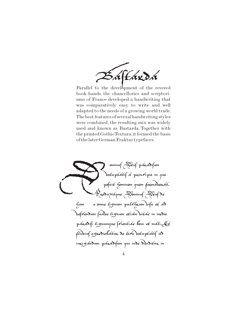Ear da

Parallel to the development of the revered book-hands, the chancellories and scriptoriums of France developed a handwriting that was comparatively easy to write and well adapted to the needs of a growing world trade. The best features of several handwriting styles were combined, the resulting mix was widely used and known as Bastarda. Together with the printed GothicTextura,it formed the basis of the later German Fraktur typefaces.

ominus Deus paradisum voluptatis a principio in quo pofuit hominem quem formaberat. Produxitque Dominus Deus de hum o omne lignum pulchrum visu et ad befreudum fuabe lignum etiam bikae in medio para $\delta$ ifi lignumque frientiae bom et mali. Et flubius egrediebátur de loco boluptátis ad inrigandum paradisum qui inde dividitur in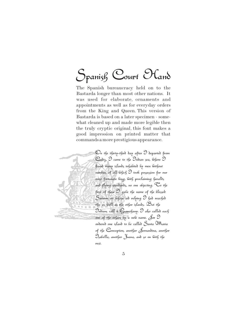## Spanish Court Oland

The Spanish bureaucracy held on to the Bastarda longer than most other nations. It was used for elaborate, ornaments and appointments as well as for everyday orders from the King and Queen. This version of Bastarda is based on a later specimen - somewhat cleaned up and made more legible then the truly cryptic original, this font makes a good impression on printed matter that commands a more prestigious appearance.

> On the thirty-third day after I departed from Cadiz,  $\Im$  came to the Indian sea, &here  $\Im$ found many islands inhabited by men without number, of all  $\omega$ hich  $\mathcal O$  took possession for our most fortunate king, with proclaiming heralds and flying standards, no one objecting. To the first of these  $\mathfrak I$  gabe the name of the blessed Sabiour, on whose aid relying I had reached this as well as the other islands. But the Indians call it Guanahany. I also called each one of the others by a new name. for  $\Im$ ordered one island to be called Santa Maria of the Conception, another  $\delta$ ernandina, another Isabella, another Juana, and so on with the rest.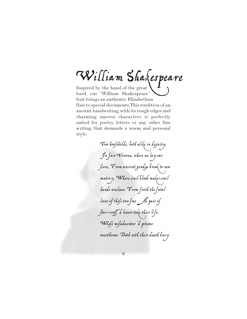William Shakespeare

bard, our "William Shakespeare" font brings an authentic Elizabethan flair to special documents.This rendition of an ancient handwriting,with its rough edges and charming uneven characters is perfectly suited for poetry, letters or any other fine writing that demands a warm and personal style.

> Two households, both alike in dignity, In fair Verona,wherewe lay our  $\int$ cene,  $F$ rom ancient grudge break to new mutiny,Where civil blood make< civil hand< unclean. From forth the fatal loins of these two foes A pair of star-cross d'alouers take their life; Whose misaduentur d piteous ouerthrows Doth with their death bury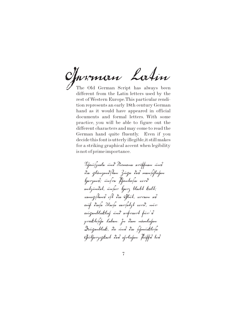The Old German Script has always been different from the Latin letters used by the rest of Western Europe.This particular rendition represents an early 18th century German hand as it would have appeared in official documents and formal letters. With some practice, you will be able to figure out the different characters and may come to read the German hand quite fluently. Even if you decide this font is utterly illegible,it still makes for a striking graphical accent when legibility German Latin

is not of prime importance.

Defaut feinla und Dermann weitfnan und din glänznnd/tnn Zügn doch munfiflisfun hjurzund; unfru fljantafin wird undzündat, unfan kanz blaibt kalt; wannig Ann 8 ift din Offirt, wornin wo auf dinfu 22 nifu wurdtg4 wird, nur augunblicklif und unfriert für 8 praktififu Lubun. Ju dun nämlifun Augenblick, da un< die schmucklose Gütfurzigknit dus nfrlufun fuiffs bis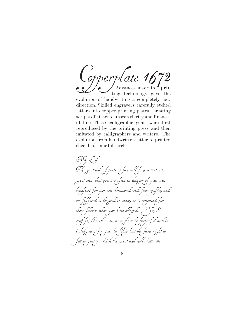Copperplate 167 Advances made in  $\bullet$  prin ting technology gave the evolution of handwriting a completely new direction. Skilled engravers carefully etched letters into copper printing plates, creating scripts of hitherto unseen clarity and fineness of line. These calligraphic gems were first reproduced by the printing press, and then imitated by calligraphers and writers. The evolution from handwritten letter to printed sheet had come full circle.

My Lord, The gratitude of poets is fo troublefome a virtue to great men, that you are often in danger of your own benefits: for you are threatened with fome epifile, and not fuffered to do good in quiet, or to compound for their filence whom you have obliged.  $\gamma$ et,  ${\mathcal I}$ confeß, Ineither am or ought to be surprised at this indulgence, for your lord thip has the fame right to favour poetry, which the great and noble have ever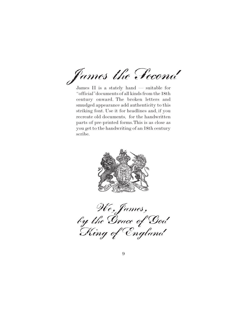James the Second

James II is a stately hand — suitable for "official"documents of all kinds from the 18th century onward. The broken letters and smudged appearance add authenticity to this striking font. Use it for headlines and, if you recreate old documents, for the handwritten parts of pre-printed forms.This is as close as you get to the handwriting of an 18th century scribe.



We, James, by the Grace of God King of England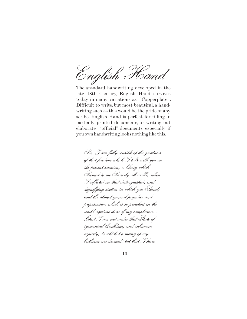English Hand

The standard handwriting developed in the late 18th Century, English Hand survives today in many variations as "Copperplate". Difficult to write, but most beautiful, a handwriting such as this would be the pride of any scribe. English Hand is perfect for filling in partially printed documents, or writing out elaborate "official" documents, especially if you own handwriting looks nothing like this.

Sir, I am fully sensible of the greatness of that freedom which I take with you on the present occasion; a liberty which Seemed to me Scarcely allowable, when I reflected on that distinguished, and dignifying station in which you Stand; and the almost general prejudice and prepossession which is so previlent in the world against those of my complexion. . . .That I am not under that State of tyrannical thralldom, and inhuman capivity, to which too many of my bretheren are doomed; but that I have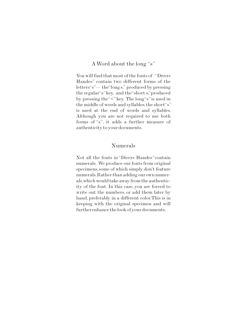#### A Word about the long "s"

You will find that most of the fonts of "Divers Handes" contain two different forms of the letters"s"— the"long s," produced by pressing the regular"s"key, and the"short s,"produced by pressing the "<" key. The long"s" is used in the middle of words and syllables,the short"s" is used at the end of words and syllables. Although you are not required to use both forms of "s", it adds a further measure of authenticity to your documents.

#### Numerals

Not all the fonts in"Divers Handes"contain numerals. We produce our fonts from original specimens,some of which simply don't feature numerals.Rather than adding our own numerals,which would take away from the authenticity of the font. In this case, you are forced to write out the numbers, or add them later by hand, preferably in a different color.This is in keeping with the original specimen and will further enhance the look of your documents.